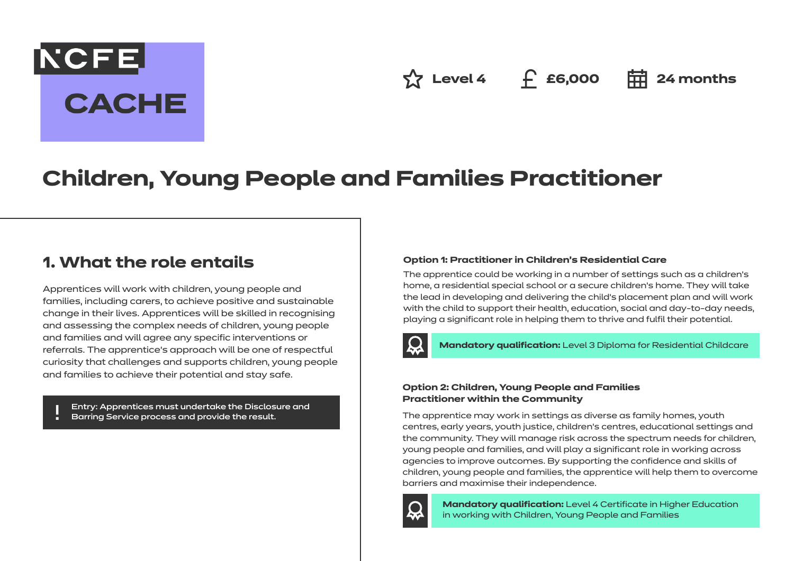# NCFE. **CACHE**

**Level 4 £6,000 24 months**

## **Children, Young People and Families Practitioner**

## **1. What the role entails**

Apprentices will work with children, young people and families, including carers, to achieve positive and sustainable change in their lives. Apprentices will be skilled in recognising and assessing the complex needs of children, young people and families and will agree any specific interventions or referrals. The apprentice's approach will be one of respectful curiosity that challenges and supports children, young people and families to achieve their potential and stay safe.

Entry: Apprentices must undertake the Disclosure and Barring Service process and provide the result.

#### **Option 1: Practitioner in Children's Residential Care**

The apprentice could be working in a number of settings such as a children's home, a residential special school or a secure children's home. They will take the lead in developing and delivering the child's placement plan and will work with the child to support their health, education, social and day-to-day needs, playing a significant role in helping them to thrive and fulfil their potential.



**Mandatory qualification:** Level 3 Diploma for Residential Childcare

#### **Option 2: Children, Young People and Families Practitioner within the Community**

The apprentice may work in settings as diverse as family homes, youth centres, early years, youth justice, children's centres, educational settings and the community. They will manage risk across the spectrum needs for children, young people and families, and will play a significant role in working across agencies to improve outcomes. By supporting the confidence and skills of children, young people and families, the apprentice will help them to overcome barriers and maximise their independence.



**Mandatory qualification:** Level 4 Certificate in Higher Education in working with Children, Young People and Families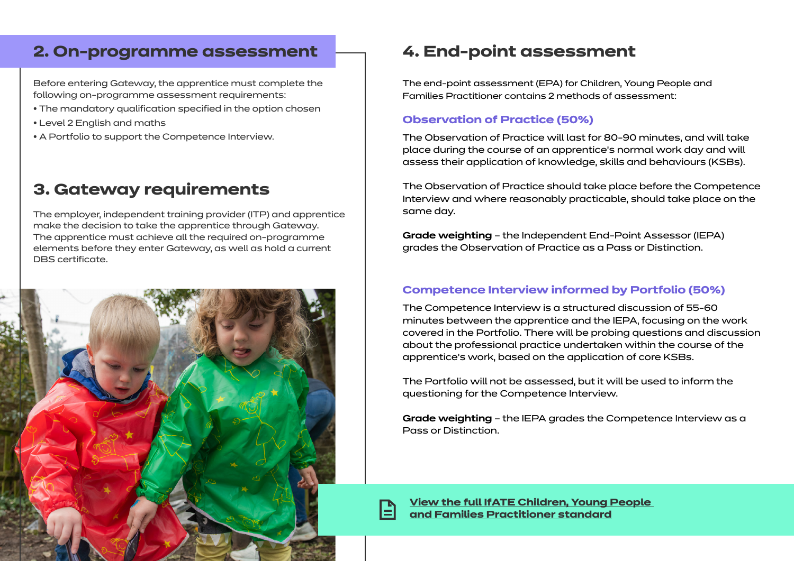#### **2. On-programme assessment**

Before entering Gateway, the apprentice must complete the following on-programme assessment requirements:

- The mandatory qualification specified in the option chosen
- Level 2 English and maths
- A Portfolio to support the Competence Interview.

#### **3. Gateway requirements**

The employer, independent training provider (ITP) and apprentice make the decision to take the apprentice through Gateway. The apprentice must achieve all the required on-programme elements before they enter Gateway, as well as hold a current DBS certificate.



#### **4. End-point assessment**

The end-point assessment (EPA) for Children, Young People and Families Practitioner contains 2 methods of assessment:

#### **Observation of Practice (50%)**

The Observation of Practice will last for 80-90 minutes, and will take place during the course of an apprentice's normal work day and will assess their application of knowledge, skills and behaviours (KSBs).

The Observation of Practice should take place before the Competence Interview and where reasonably practicable, should take place on the same day.

**Grade weighting** – the Independent End-Point Assessor (IEPA) grades the Observation of Practice as a Pass or Distinction.

#### **Competence Interview informed by Portfolio (50%)**

The Competence Interview is a structured discussion of 55-60 minutes between the apprentice and the IEPA, focusing on the work covered in the Portfolio. There will be probing questions and discussion about the professional practice undertaken within the course of the apprentice's work, based on the application of core KSBs.

The Portfolio will not be assessed, but it will be used to inform the questioning for the Competence Interview.

**Grade weighting** – the IEPA grades the Competence Interview as a Pass or Distinction.

**[View the full IfATE Children, Young People](https://www.instituteforapprenticeships.org/apprenticeship-standards/healthcare-assistant-practitioner/)  [and Families Practitioner standard](https://www.instituteforapprenticeships.org/apprenticeship-standards/children,-young-people-and-families-practitioner-v1-0)**